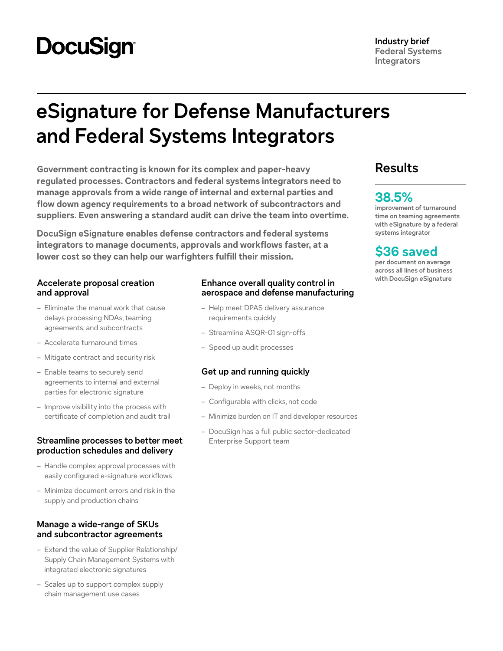# **DocuSign**

# **eSignature for Defense Manufacturers and Federal Systems Integrators**

**Government contracting is known for its complex and paper-heavy regulated processes. Contractors and federal systems integrators need to manage approvals from a wide range of internal and external parties and flow down agency requirements to a broad network of subcontractors and suppliers. Even answering a standard audit can drive the team into overtime.** 

**DocuSign eSignature enables defense contractors and federal systems integrators to manage documents, approvals and workflows faster, at a lower cost so they can help our warfighters fulfill their mission.**

## **and approval**

- Eliminate the manual work that cause delays processing NDAs, teaming agreements, and subcontracts
- Accelerate turnaround times
- Mitigate contract and security risk
- Enable teams to securely send agreements to internal and external parties for electronic signature
- Improve visibility into the process with certificate of completion and audit trail

#### **Streamline processes to better meet production schedules and delivery**

- Handle complex approval processes with easily configured e-signature workflows
- Minimize document errors and risk in the supply and production chains

#### **Manage a wide-range of SKUs and subcontractor agreements**

- Extend the value of Supplier Relationship/ Supply Chain Management Systems with integrated electronic signatures
- Scales up to support complex supply chain management use cases

#### **with DocuSign eSignature Accelerate proposal creation Enhance overall quality control in aerospace and defense manufacturing**

- Help meet DPAS delivery assurance requirements quickly
- Streamline ASQR-01 sign-offs
- Speed up audit processes

#### **Get up and running quickly**

- Deploy in weeks, not months
- Configurable with clicks, not code
- Minimize burden on IT and developer resources
- DocuSign has a full public sector-dedicated Enterprise Support team

## **Results**

## **38.5%**

**improvement of turnaround time on teaming agreements with eSignature by a federal systems integrator**

## **\$36 saved**

**per document on average across all lines of business**